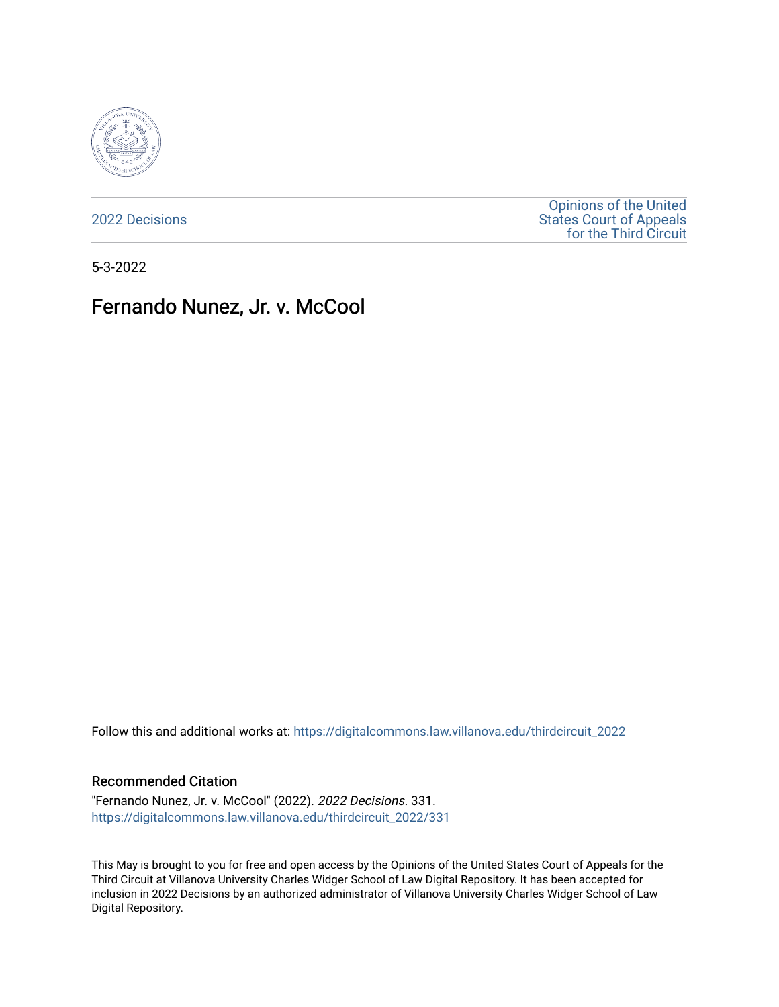

[2022 Decisions](https://digitalcommons.law.villanova.edu/thirdcircuit_2022)

[Opinions of the United](https://digitalcommons.law.villanova.edu/thirdcircuit)  [States Court of Appeals](https://digitalcommons.law.villanova.edu/thirdcircuit)  [for the Third Circuit](https://digitalcommons.law.villanova.edu/thirdcircuit) 

5-3-2022

# Fernando Nunez, Jr. v. McCool

Follow this and additional works at: [https://digitalcommons.law.villanova.edu/thirdcircuit\\_2022](https://digitalcommons.law.villanova.edu/thirdcircuit_2022?utm_source=digitalcommons.law.villanova.edu%2Fthirdcircuit_2022%2F331&utm_medium=PDF&utm_campaign=PDFCoverPages) 

### Recommended Citation

"Fernando Nunez, Jr. v. McCool" (2022). 2022 Decisions. 331. [https://digitalcommons.law.villanova.edu/thirdcircuit\\_2022/331](https://digitalcommons.law.villanova.edu/thirdcircuit_2022/331?utm_source=digitalcommons.law.villanova.edu%2Fthirdcircuit_2022%2F331&utm_medium=PDF&utm_campaign=PDFCoverPages)

This May is brought to you for free and open access by the Opinions of the United States Court of Appeals for the Third Circuit at Villanova University Charles Widger School of Law Digital Repository. It has been accepted for inclusion in 2022 Decisions by an authorized administrator of Villanova University Charles Widger School of Law Digital Repository.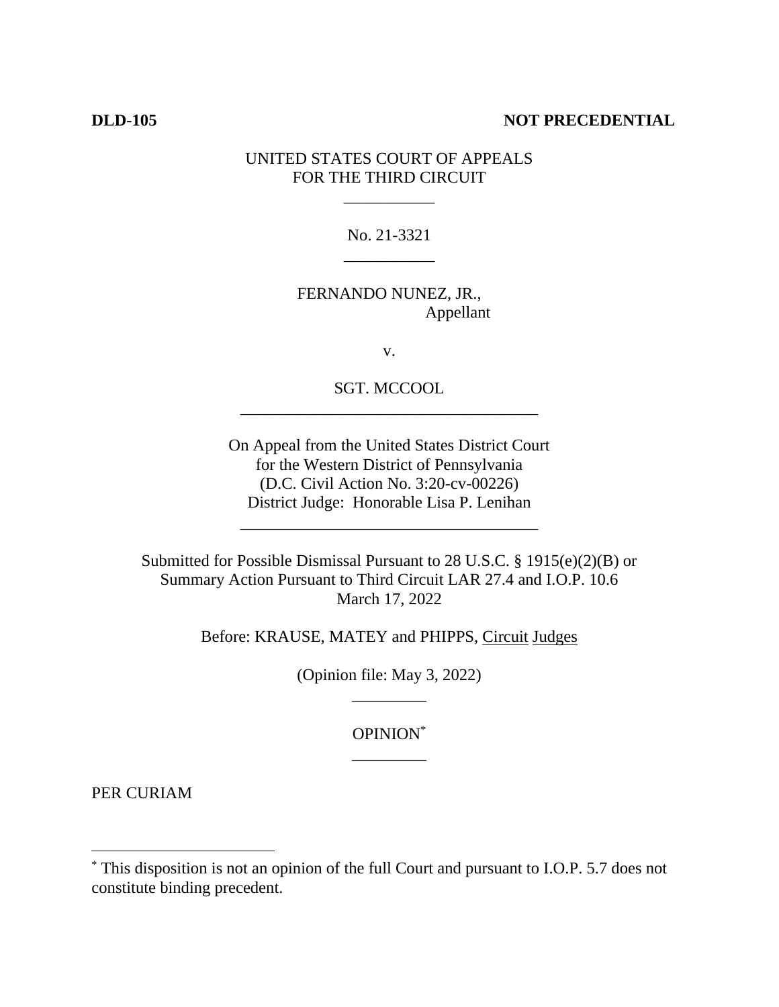## **DLD-105 NOT PRECEDENTIAL**

# UNITED STATES COURT OF APPEALS FOR THE THIRD CIRCUIT

\_\_\_\_\_\_\_\_\_\_\_

No. 21-3321 \_\_\_\_\_\_\_\_\_\_\_

FERNANDO NUNEZ, JR., Appellant

v.

SGT. MCCOOL \_\_\_\_\_\_\_\_\_\_\_\_\_\_\_\_\_\_\_\_\_\_\_\_\_\_\_\_\_\_\_\_\_\_\_\_

On Appeal from the United States District Court for the Western District of Pennsylvania (D.C. Civil Action No. 3:20-cv-00226) District Judge: Honorable Lisa P. Lenihan

\_\_\_\_\_\_\_\_\_\_\_\_\_\_\_\_\_\_\_\_\_\_\_\_\_\_\_\_\_\_\_\_\_\_\_\_

Submitted for Possible Dismissal Pursuant to 28 U.S.C. § 1915(e)(2)(B) or Summary Action Pursuant to Third Circuit LAR 27.4 and I.O.P. 10.6 March 17, 2022

Before: KRAUSE, MATEY and PHIPPS, Circuit Judges

(Opinion file: May 3, 2022) \_\_\_\_\_\_\_\_\_

> OPINION\* \_\_\_\_\_\_\_\_\_

PER CURIAM

<sup>\*</sup> This disposition is not an opinion of the full Court and pursuant to I.O.P. 5.7 does not constitute binding precedent.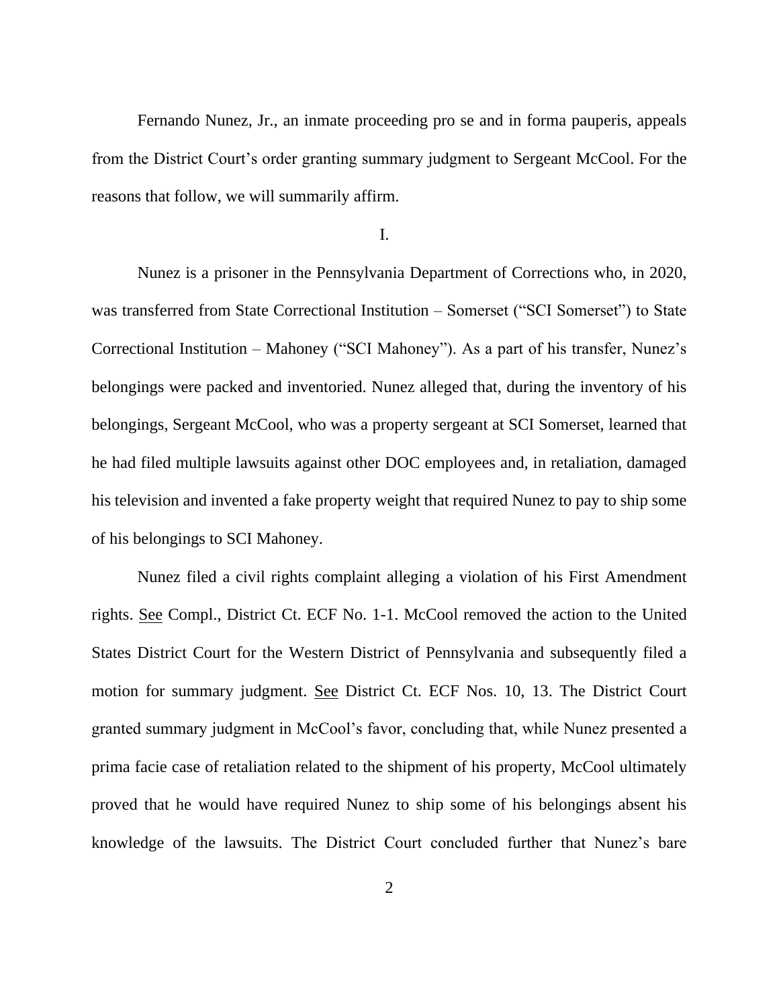Fernando Nunez, Jr., an inmate proceeding pro se and in forma pauperis, appeals from the District Court's order granting summary judgment to Sergeant McCool. For the reasons that follow, we will summarily affirm.

I.

Nunez is a prisoner in the Pennsylvania Department of Corrections who, in 2020, was transferred from State Correctional Institution – Somerset ("SCI Somerset") to State Correctional Institution – Mahoney ("SCI Mahoney"). As a part of his transfer, Nunez's belongings were packed and inventoried. Nunez alleged that, during the inventory of his belongings, Sergeant McCool, who was a property sergeant at SCI Somerset, learned that he had filed multiple lawsuits against other DOC employees and, in retaliation, damaged his television and invented a fake property weight that required Nunez to pay to ship some of his belongings to SCI Mahoney.

Nunez filed a civil rights complaint alleging a violation of his First Amendment rights. See Compl., District Ct. ECF No. 1-1. McCool removed the action to the United States District Court for the Western District of Pennsylvania and subsequently filed a motion for summary judgment. See District Ct. ECF Nos. 10, 13. The District Court granted summary judgment in McCool's favor, concluding that, while Nunez presented a prima facie case of retaliation related to the shipment of his property, McCool ultimately proved that he would have required Nunez to ship some of his belongings absent his knowledge of the lawsuits. The District Court concluded further that Nunez's bare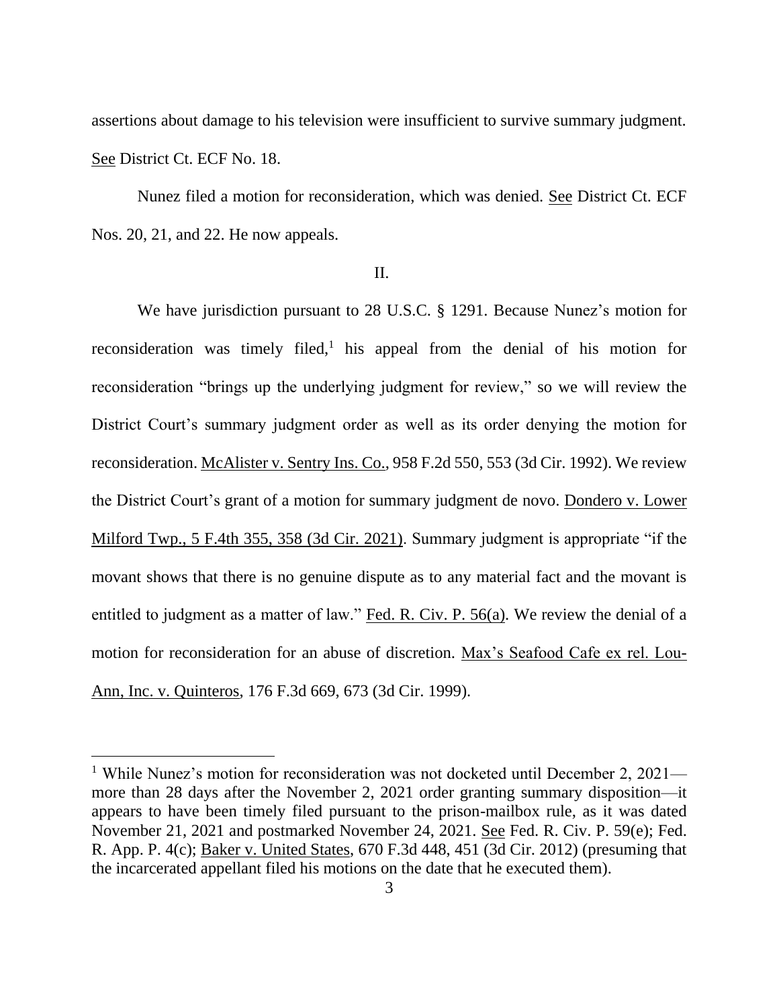assertions about damage to his television were insufficient to survive summary judgment. See District Ct. ECF No. 18.

Nunez filed a motion for reconsideration, which was denied. See District Ct. ECF Nos. 20, 21, and 22. He now appeals.

### II.

We have jurisdiction pursuant to 28 U.S.C. § 1291. Because Nunez's motion for reconsideration was timely filed,<sup>1</sup> his appeal from the denial of his motion for reconsideration "brings up the underlying judgment for review," so we will review the District Court's summary judgment order as well as its order denying the motion for reconsideration. McAlister v. Sentry Ins. Co., 958 F.2d 550, 553 (3d Cir. 1992). We review the District Court's grant of a motion for summary judgment de novo. Dondero v. Lower Milford Twp., 5 F.4th 355, 358 (3d Cir. 2021). Summary judgment is appropriate "if the movant shows that there is no genuine dispute as to any material fact and the movant is entitled to judgment as a matter of law." Fed. R. Civ. P. 56(a). We review the denial of a motion for reconsideration for an abuse of discretion. Max's Seafood Cafe ex rel. Lou-Ann, Inc. v. Quinteros, 176 F.3d 669, 673 (3d Cir. 1999).

<sup>&</sup>lt;sup>1</sup> While Nunez's motion for reconsideration was not docketed until December 2, 2021 more than 28 days after the November 2, 2021 order granting summary disposition—it appears to have been timely filed pursuant to the prison-mailbox rule, as it was dated November 21, 2021 and postmarked November 24, 2021. See Fed. R. Civ. P. 59(e); Fed. R. App. P. 4(c); Baker v. United States, 670 F.3d 448, 451 (3d Cir. 2012) (presuming that the incarcerated appellant filed his motions on the date that he executed them).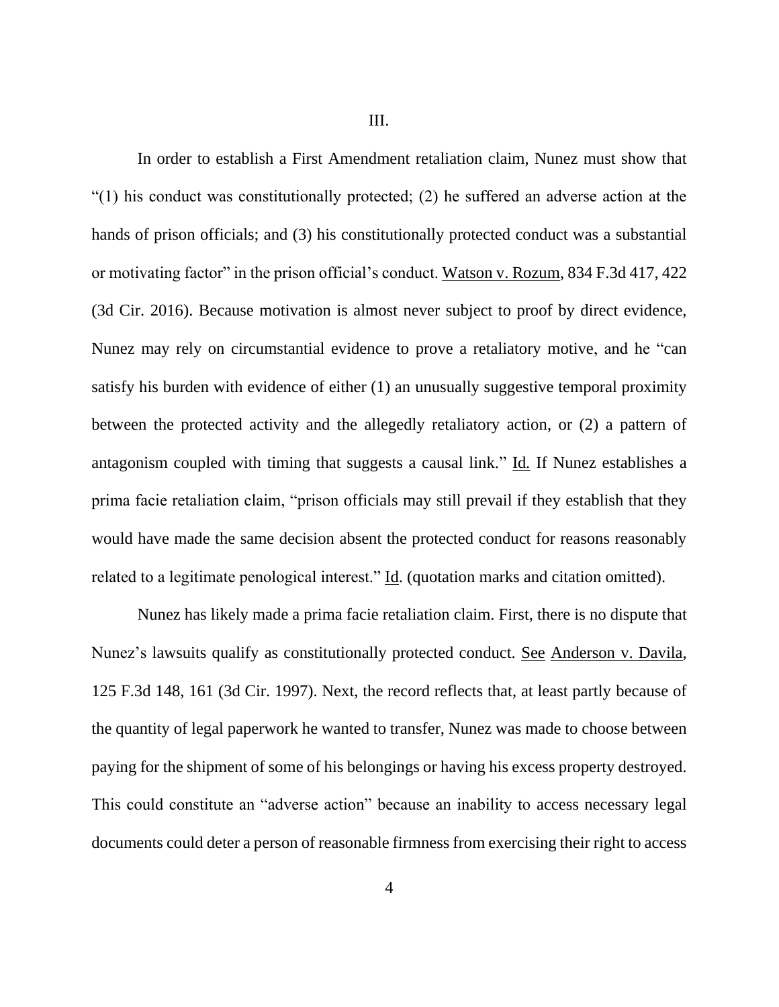III.

In order to establish a First Amendment retaliation claim, Nunez must show that "(1) his conduct was constitutionally protected; (2) he suffered an adverse action at the hands of prison officials; and (3) his constitutionally protected conduct was a substantial or motivating factor" in the prison official's conduct. Watson v. Rozum, 834 F.3d 417, 422 (3d Cir. 2016). Because motivation is almost never subject to proof by direct evidence, Nunez may rely on circumstantial evidence to prove a retaliatory motive, and he "can satisfy his burden with evidence of either (1) an unusually suggestive temporal proximity between the protected activity and the allegedly retaliatory action, or (2) a pattern of antagonism coupled with timing that suggests a causal link." Id*.* If Nunez establishes a prima facie retaliation claim, "prison officials may still prevail if they establish that they would have made the same decision absent the protected conduct for reasons reasonably related to a legitimate penological interest." Id. (quotation marks and citation omitted).

Nunez has likely made a prima facie retaliation claim. First, there is no dispute that Nunez's lawsuits qualify as constitutionally protected conduct. See Anderson v. Davila, 125 F.3d 148, 161 (3d Cir. 1997). Next, the record reflects that, at least partly because of the quantity of legal paperwork he wanted to transfer, Nunez was made to choose between paying for the shipment of some of his belongings or having his excess property destroyed. This could constitute an "adverse action" because an inability to access necessary legal documents could deter a person of reasonable firmness from exercising their right to access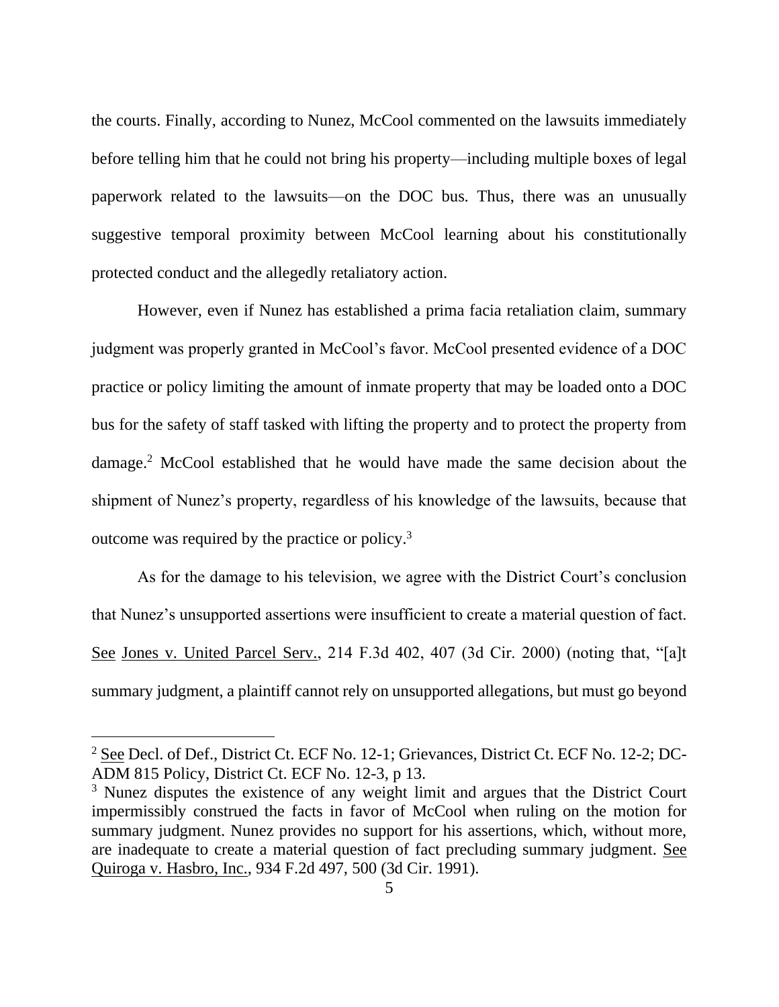the courts. Finally, according to Nunez, McCool commented on the lawsuits immediately before telling him that he could not bring his property—including multiple boxes of legal paperwork related to the lawsuits—on the DOC bus. Thus, there was an unusually suggestive temporal proximity between McCool learning about his constitutionally protected conduct and the allegedly retaliatory action.

However, even if Nunez has established a prima facia retaliation claim, summary judgment was properly granted in McCool's favor. McCool presented evidence of a DOC practice or policy limiting the amount of inmate property that may be loaded onto a DOC bus for the safety of staff tasked with lifting the property and to protect the property from damage.<sup>2</sup> McCool established that he would have made the same decision about the shipment of Nunez's property, regardless of his knowledge of the lawsuits, because that outcome was required by the practice or policy.<sup>3</sup>

As for the damage to his television, we agree with the District Court's conclusion that Nunez's unsupported assertions were insufficient to create a material question of fact. See Jones v. United Parcel Serv., 214 F.3d 402, 407 (3d Cir. 2000) (noting that, "[a]t summary judgment, a plaintiff cannot rely on unsupported allegations, but must go beyond

<sup>&</sup>lt;sup>2</sup> See Decl. of Def., District Ct. ECF No. 12-1; Grievances, District Ct. ECF No. 12-2; DC-ADM 815 Policy, District Ct. ECF No. 12-3, p 13.

<sup>&</sup>lt;sup>3</sup> Nunez disputes the existence of any weight limit and argues that the District Court impermissibly construed the facts in favor of McCool when ruling on the motion for summary judgment. Nunez provides no support for his assertions, which, without more, are inadequate to create a material question of fact precluding summary judgment. See Quiroga v. Hasbro, Inc., 934 F.2d 497, 500 (3d Cir. 1991).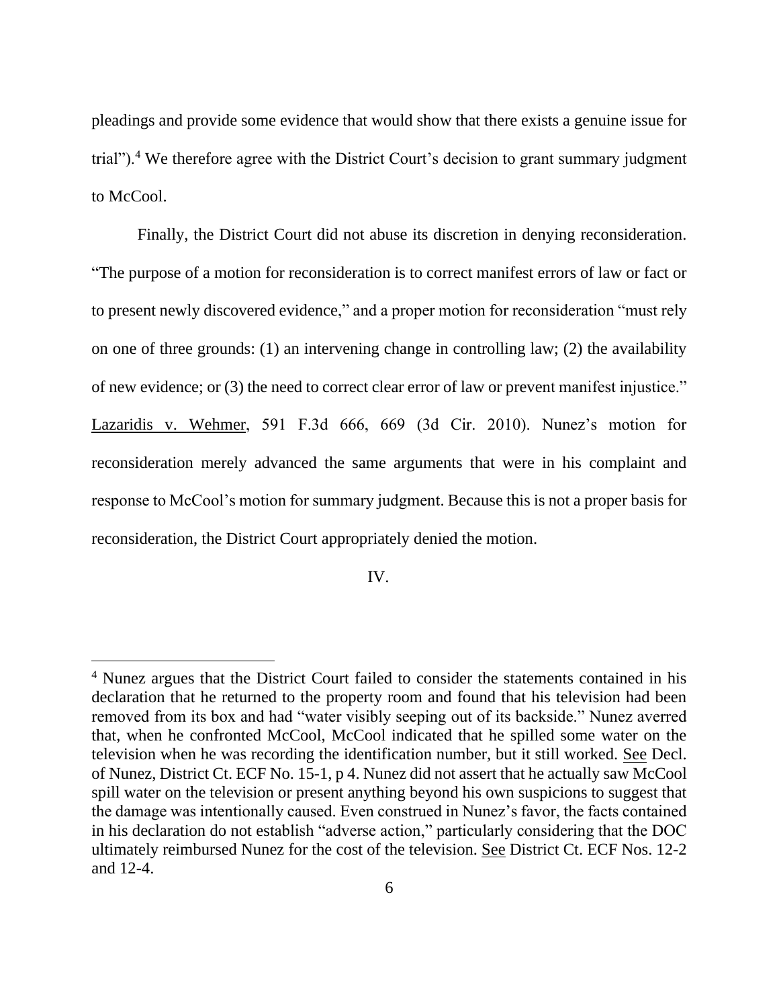pleadings and provide some evidence that would show that there exists a genuine issue for trial").<sup>4</sup> We therefore agree with the District Court's decision to grant summary judgment to McCool.

Finally, the District Court did not abuse its discretion in denying reconsideration. "The purpose of a motion for reconsideration is to correct manifest errors of law or fact or to present newly discovered evidence," and a proper motion for reconsideration "must rely on one of three grounds: (1) an intervening change in controlling law; (2) the availability of new evidence; or (3) the need to correct clear error of law or prevent manifest injustice." Lazaridis v. Wehmer, 591 F.3d 666, 669 (3d Cir. 2010). Nunez's motion for reconsideration merely advanced the same arguments that were in his complaint and response to McCool's motion for summary judgment. Because this is not a proper basis for reconsideration, the District Court appropriately denied the motion.

IV.

<sup>4</sup> Nunez argues that the District Court failed to consider the statements contained in his declaration that he returned to the property room and found that his television had been removed from its box and had "water visibly seeping out of its backside." Nunez averred that, when he confronted McCool, McCool indicated that he spilled some water on the television when he was recording the identification number, but it still worked. See Decl. of Nunez, District Ct. ECF No. 15-1, p 4. Nunez did not assert that he actually saw McCool spill water on the television or present anything beyond his own suspicions to suggest that the damage was intentionally caused. Even construed in Nunez's favor, the facts contained in his declaration do not establish "adverse action," particularly considering that the DOC ultimately reimbursed Nunez for the cost of the television. See District Ct. ECF Nos. 12-2 and 12-4.